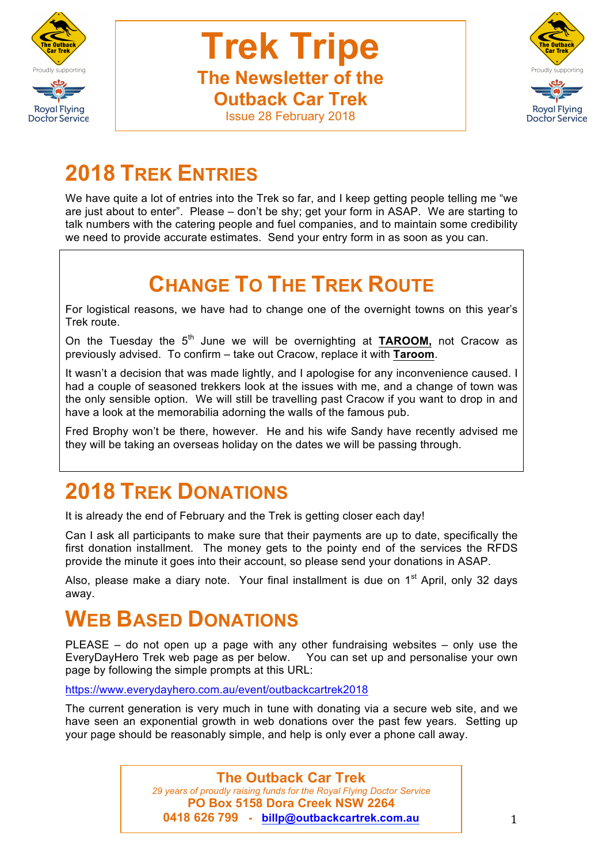



# **2018 TREK ENTRIES**

We have quite a lot of entries into the Trek so far, and I keep getting people telling me "we are just about to enter". Please – don't be shy; get your form in ASAP. We are starting to talk numbers with the catering people and fuel companies, and to maintain some credibility we need to provide accurate estimates. Send your entry form in as soon as you can.

# **CHANGE TO THE TREK ROUTE**

For logistical reasons, we have had to change one of the overnight towns on this year's Trek route.

On the Tuesday the 5<sup>th</sup> June we will be overnighting at **TAROOM**, not Cracow as previously advised. To confirm – take out Cracow, replace it with **Taroom**.

It wasn't a decision that was made lightly, and I apologise for any inconvenience caused. I had a couple of seasoned trekkers look at the issues with me, and a change of town was the only sensible option. We will still be travelling past Cracow if you want to drop in and have a look at the memorabilia adorning the walls of the famous pub.

Fred Brophy won't be there, however. He and his wife Sandy have recently advised me they will be taking an overseas holiday on the dates we will be passing through.

# **2018 TREK DONATIONS**

It is already the end of February and the Trek is getting closer each day!

Can I ask all participants to make sure that their payments are up to date, specifically the first donation installment. The money gets to the pointy end of the services the RFDS provide the minute it goes into their account, so please send your donations in ASAP.

Also, please make a diary note. Your final installment is due on  $1<sup>st</sup>$  April, only 32 days away.

# **WEB BASED DONATIONS**

PLEASE – do not open up a page with any other fundraising websites – only use the EveryDayHero Trek web page as per below.You can set up and personalise your own page by following the simple prompts at this URL:

https://www.everydayhero.com.au/event/outbackcartrek2018

The current generation is very much in tune with donating via a secure web site, and we have seen an exponential growth in web donations over the past few years. Setting up your page should be reasonably simple, and help is only ever a phone call away.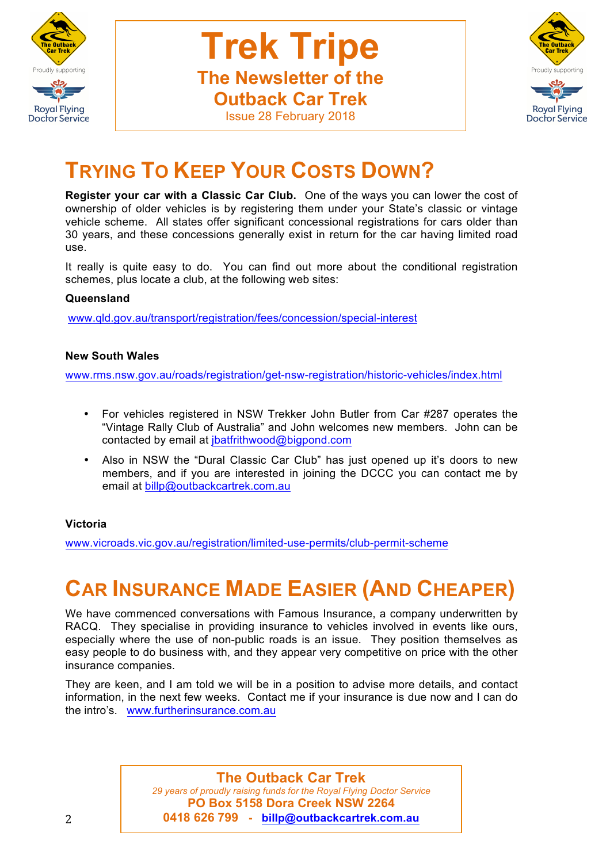

**Trek Tripe The Newsletter of the Outback Car Trek**



## Issue 28 February 2018

## **TRYING TO KEEP YOUR COSTS DOWN?**

**Register your car with a Classic Car Club.** One of the ways you can lower the cost of ownership of older vehicles is by registering them under your State's classic or vintage vehicle scheme. All states offer significant concessional registrations for cars older than 30 years, and these concessions generally exist in return for the car having limited road use.

It really is quite easy to do. You can find out more about the conditional registration schemes, plus locate a club, at the following web sites:

#### **Queensland**

www.qld.gov.au/transport/registration/fees/concession/special-interest

#### **New South Wales**

www.rms.nsw.gov.au/roads/registration/get-nsw-registration/historic-vehicles/index.html

- For vehicles registered in NSW Trekker John Butler from Car #287 operates the "Vintage Rally Club of Australia" and John welcomes new members. John can be contacted by email at jbatfrithwood@bigpond.com
- Also in NSW the "Dural Classic Car Club" has just opened up it's doors to new members, and if you are interested in joining the DCCC you can contact me by email at billp@outbackcartrek.com.au

#### **Victoria**

www.vicroads.vic.gov.au/registration/limited-use-permits/club-permit-scheme

# **CAR INSURANCE MADE EASIER (AND CHEAPER)**

We have commenced conversations with Famous Insurance, a company underwritten by RACQ. They specialise in providing insurance to vehicles involved in events like ours, especially where the use of non-public roads is an issue. They position themselves as easy people to do business with, and they appear very competitive on price with the other insurance companies.

They are keen, and I am told we will be in a position to advise more details, and contact information, in the next few weeks. Contact me if your insurance is due now and I can do the intro's. www.furtherinsurance.com.au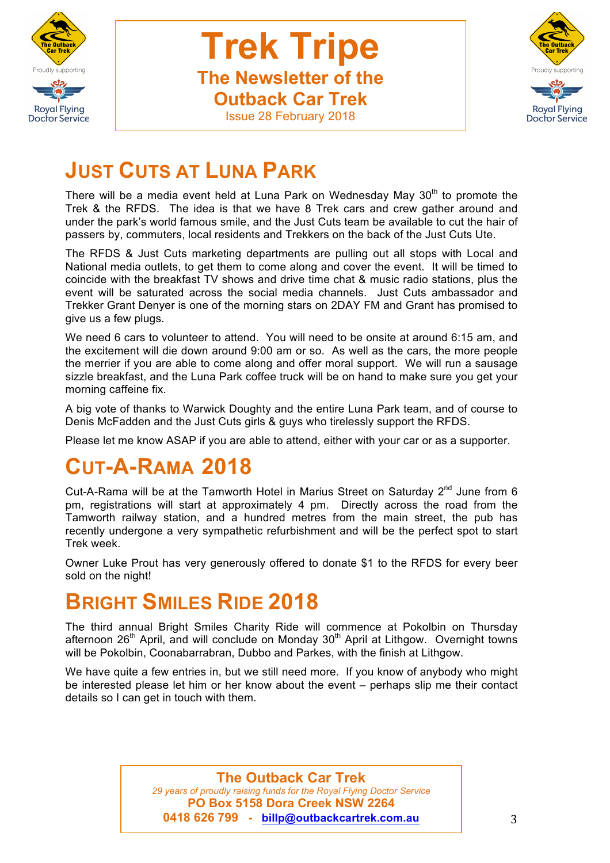



## **JUST CUTS AT LUNA PARK**

There will be a media event held at Luna Park on Wednesday May  $30<sup>th</sup>$  to promote the Trek & the RFDS. The idea is that we have 8 Trek cars and crew gather around and under the park's world famous smile, and the Just Cuts team be available to cut the hair of passers by, commuters, local residents and Trekkers on the back of the Just Cuts Ute.

The RFDS & Just Cuts marketing departments are pulling out all stops with Local and National media outlets, to get them to come along and cover the event. It will be timed to coincide with the breakfast TV shows and drive time chat & music radio stations, plus the event will be saturated across the social media channels. Just Cuts ambassador and Trekker Grant Denyer is one of the morning stars on 2DAY FM and Grant has promised to give us a few plugs.

We need 6 cars to volunteer to attend. You will need to be onsite at around 6:15 am, and the excitement will die down around 9:00 am or so. As well as the cars, the more people the merrier if you are able to come along and offer moral support. We will run a sausage sizzle breakfast, and the Luna Park coffee truck will be on hand to make sure you get your morning caffeine fix.

A big vote of thanks to Warwick Doughty and the entire Luna Park team, and of course to Denis McFadden and the Just Cuts girls & guys who tirelessly support the RFDS.

Please let me know ASAP if you are able to attend, either with your car or as a supporter.

# **CUT-A-RAMA 2018**

Cut-A-Rama will be at the Tamworth Hotel in Marius Street on Saturday  $2^{nd}$  June from 6 pm, registrations will start at approximately 4 pm. Directly across the road from the Tamworth railway station, and a hundred metres from the main street, the pub has recently undergone a very sympathetic refurbishment and will be the perfect spot to start Trek week.

Owner Luke Prout has very generously offered to donate \$1 to the RFDS for every beer sold on the night!

## **BRIGHT SMILES RIDE 2018**

The third annual Bright Smiles Charity Ride will commence at Pokolbin on Thursday afternoon  $26<sup>th</sup>$  April, and will conclude on Monday  $30<sup>th</sup>$  April at Lithgow. Overnight towns will be Pokolbin, Coonabarrabran, Dubbo and Parkes, with the finish at Lithgow.

We have quite a few entries in, but we still need more. If you know of anybody who might be interested please let him or her know about the event – perhaps slip me their contact details so I can get in touch with them.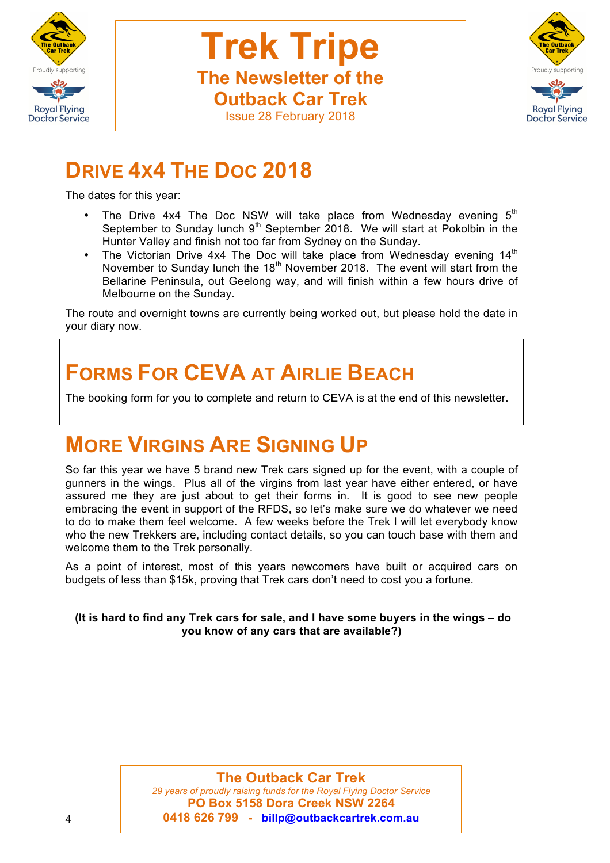



# **DRIVE 4X4 THE DOC 2018**

The dates for this year:

- The Drive 4x4 The Doc NSW will take place from Wednesday evening  $5<sup>th</sup>$ September to Sunday lunch  $9<sup>th</sup>$  September 2018. We will start at Pokolbin in the Hunter Valley and finish not too far from Sydney on the Sunday.
- The Victorian Drive 4x4 The Doc will take place from Wednesday evening  $14<sup>th</sup>$ November to Sunday lunch the  $18<sup>th</sup>$  November 2018. The event will start from the Bellarine Peninsula, out Geelong way, and will finish within a few hours drive of Melbourne on the Sunday.

The route and overnight towns are currently being worked out, but please hold the date in your diary now.

# **FORMS FOR CEVA AT AIRLIE BEACH**

The booking form for you to complete and return to CEVA is at the end of this newsletter.

# **MORE VIRGINS ARE SIGNING UP**

So far this year we have 5 brand new Trek cars signed up for the event, with a couple of gunners in the wings. Plus all of the virgins from last year have either entered, or have assured me they are just about to get their forms in. It is good to see new people embracing the event in support of the RFDS, so let's make sure we do whatever we need to do to make them feel welcome. A few weeks before the Trek I will let everybody know who the new Trekkers are, including contact details, so you can touch base with them and welcome them to the Trek personally.

As a point of interest, most of this years newcomers have built or acquired cars on budgets of less than \$15k, proving that Trek cars don't need to cost you a fortune.

#### **(It is hard to find any Trek cars for sale, and I have some buyers in the wings – do you know of any cars that are available?)**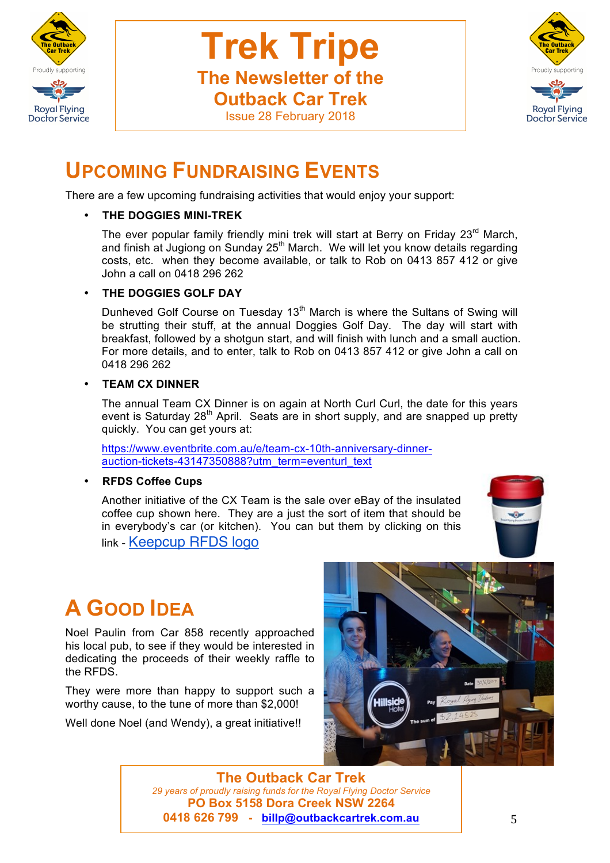



## **UPCOMING FUNDRAISING EVENTS**

There are a few upcoming fundraising activities that would enjoy your support:

#### • **THE DOGGIES MINI-TREK**

The ever popular family friendly mini trek will start at Berry on Friday 23<sup>rd</sup> March, and finish at Jugiong on Sunday 25<sup>th</sup> March. We will let you know details regarding costs, etc. when they become available, or talk to Rob on 0413 857 412 or give John a call on 0418 296 262

#### • **THE DOGGIES GOLF DAY**

Dunheved Golf Course on Tuesday 13<sup>th</sup> March is where the Sultans of Swing will be strutting their stuff, at the annual Doggies Golf Day. The day will start with breakfast, followed by a shotgun start, and will finish with lunch and a small auction. For more details, and to enter, talk to Rob on 0413 857 412 or give John a call on 0418 296 262

#### • **TEAM CX DINNER**

The annual Team CX Dinner is on again at North Curl Curl, the date for this years event is Saturday 28<sup>th</sup> April. Seats are in short supply, and are snapped up pretty quickly. You can get yours at:

https://www.eventbrite.com.au/e/team-cx-10th-anniversary-dinnerauction-tickets-43147350888?utm\_term=eventurl\_text

• **RFDS Coffee Cups**

Another initiative of the CX Team is the sale over eBay of the insulated coffee cup shown here. They are a just the sort of item that should be in everybody's car (or kitchen). You can but them by clicking on this link - Keepcup RFDS logo



# **A GOOD IDEA**

Noel Paulin from Car 858 recently approached his local pub, to see if they would be interested in dedicating the proceeds of their weekly raffle to the RFDS.

They were more than happy to support such a worthy cause, to the tune of more than \$2,000!

Well done Noel (and Wendy), a great initiative!!

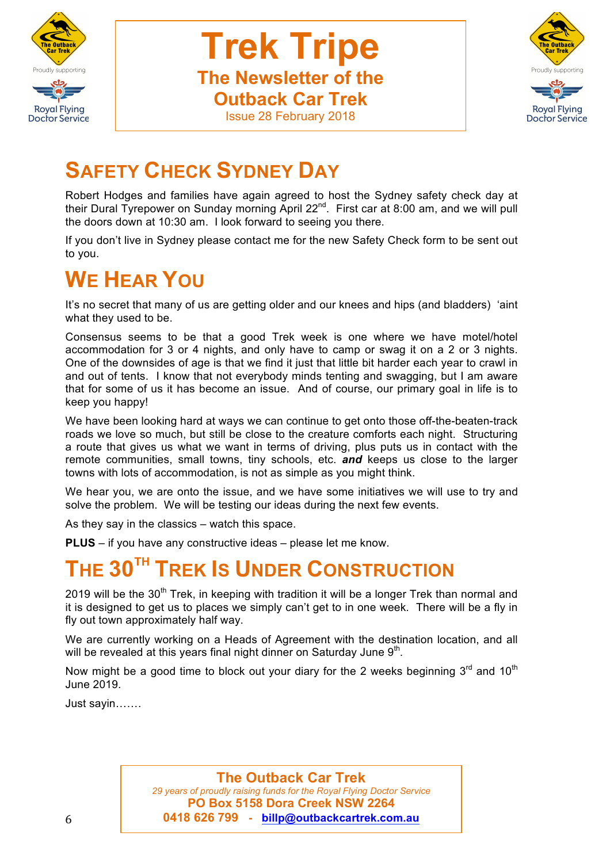

**Trek Tripe The Newsletter of the Outback Car Trek**



### Issue 28 February 2018

## **SAFETY CHECK SYDNEY DAY**

Robert Hodges and families have again agreed to host the Sydney safety check day at their Dural Tyrepower on Sunday morning April 22<sup>nd</sup>. First car at 8:00 am, and we will pull the doors down at 10:30 am. I look forward to seeing you there.

If you don't live in Sydney please contact me for the new Safety Check form to be sent out to you.

# **WE HEAR YOU**

It's no secret that many of us are getting older and our knees and hips (and bladders) 'aint what they used to be.

Consensus seems to be that a good Trek week is one where we have motel/hotel accommodation for 3 or 4 nights, and only have to camp or swag it on a 2 or 3 nights. One of the downsides of age is that we find it just that little bit harder each year to crawl in and out of tents. I know that not everybody minds tenting and swagging, but I am aware that for some of us it has become an issue. And of course, our primary goal in life is to keep you happy!

We have been looking hard at ways we can continue to get onto those off-the-beaten-track roads we love so much, but still be close to the creature comforts each night. Structuring a route that gives us what we want in terms of driving, plus puts us in contact with the remote communities, small towns, tiny schools, etc. *and* keeps us close to the larger towns with lots of accommodation, is not as simple as you might think.

We hear you, we are onto the issue, and we have some initiatives we will use to try and solve the problem. We will be testing our ideas during the next few events.

As they say in the classics – watch this space.

**PLUS** – if you have any constructive ideas – please let me know.

# **THE 30TH TREK IS UNDER CONSTRUCTION**

2019 will be the 30<sup>th</sup> Trek, in keeping with tradition it will be a longer Trek than normal and it is designed to get us to places we simply can't get to in one week. There will be a fly in fly out town approximately half way.

We are currently working on a Heads of Agreement with the destination location, and all will be revealed at this years final night dinner on Saturday June  $9<sup>th</sup>$ .

Now might be a good time to block out your diary for the 2 weeks beginning  $3<sup>rd</sup>$  and  $10<sup>th</sup>$ June 2019.

Just sayin…….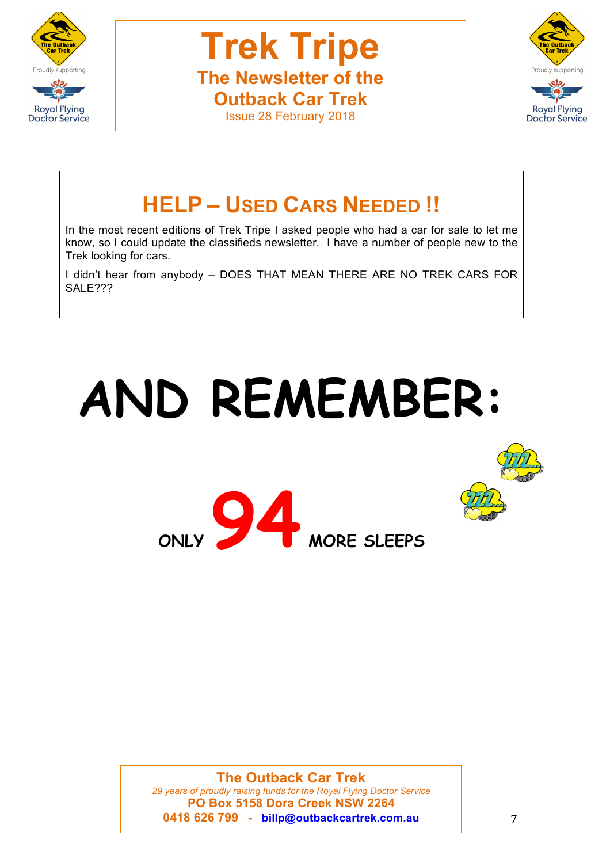



# **HELP – USED CARS NEEDED !!**

In the most recent editions of Trek Tripe I asked people who had a car for sale to let me know, so I could update the classifieds newsletter. I have a number of people new to the Trek looking for cars.

I didn't hear from anybody – DOES THAT MEAN THERE ARE NO TREK CARS FOR SALE???

# **AND REMEMBER:**

**ONLY 94 MORE SLEEPS**



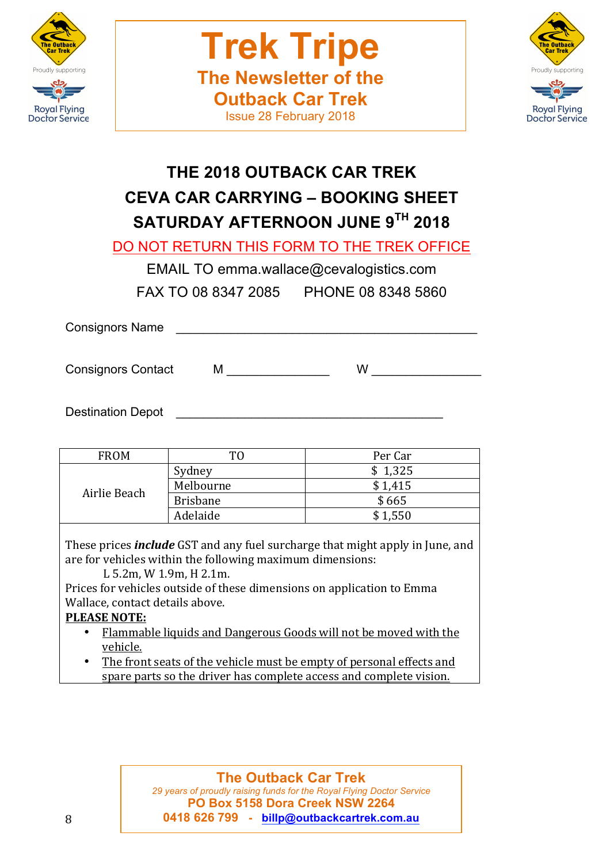



## **THE 2018 OUTBACK CAR TREK CEVA CAR CARRYING – BOOKING SHEET SATURDAY AFTERNOON JUNE 9TH 2018**

DO NOT RETURN THIS FORM TO THE TREK OFFICE

EMAIL TO emma.wallace@cevalogistics.com

FAX TO 08 8347 2085 PHONE 08 8348 5860

Consignors Name

Consignors Contact M \_\_\_\_\_\_\_\_\_\_\_\_ W \_\_\_\_\_\_\_\_\_\_\_\_

Destination Depot

| <b>FROM</b>  | TO              | Per Car |
|--------------|-----------------|---------|
| Airlie Beach | Sydney          | \$1,325 |
|              | Melbourne       | \$1,415 |
|              | <b>Brisbane</b> | \$665   |
|              | Adelaide        | \$1,550 |

These prices *include* GST and any fuel surcharge that might apply in June, and are for vehicles within the following maximum dimensions:

L 5.2m, W 1.9m, H 2.1m.

Prices for vehicles outside of these dimensions on application to Emma Wallace, contact details above.

## **PLEASE NOTE:**

- Flammable liquids and Dangerous Goods will not be moved with the vehicle.
- The front seats of the vehicle must be empty of personal effects and spare parts so the driver has complete access and complete vision.